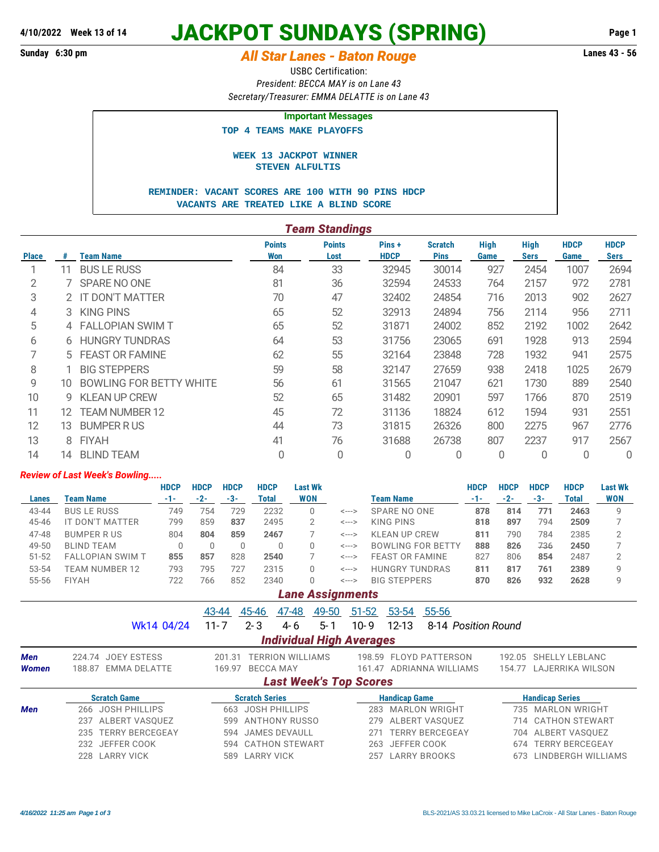# **JACKPOT SUNDAYS (SPRING) 4/10/2022 Week 13 of 14 Page 1**

# **Sunday 6:30 pm** *All Star Lanes - Baton Rouge* **Lanes 43 - 56**

USBC Certification: *President: BECCA MAY is on Lane 43 Secretary/Treasurer: EMMA DELATTE is on Lane 43*

### **Important Messages**

 **TOP 4 TEAMS MAKE PLAYOFFS**

#### **WEEK 13 JACKPOT WINNER STEVEN ALFULTIS**

#### **REMINDER: VACANT SCORES ARE 100 WITH 90 PINS HDCP VACANTS ARE TREATED LIKE A BLIND SCORE**

|              | <b>Team Standings</b> |                                |                      |                       |                      |                               |                     |                            |                     |                            |  |
|--------------|-----------------------|--------------------------------|----------------------|-----------------------|----------------------|-------------------------------|---------------------|----------------------------|---------------------|----------------------------|--|
| <b>Place</b> | #                     | <b>Team Name</b>               | <b>Points</b><br>Won | <b>Points</b><br>Lost | Pins+<br><b>HDCP</b> | <b>Scratch</b><br><b>Pins</b> | <b>High</b><br>Game | <b>High</b><br><b>Sers</b> | <b>HDCP</b><br>Game | <b>HDCP</b><br><b>Sers</b> |  |
|              | 11                    | <b>BUS LE RUSS</b>             | 84                   | 33                    | 32945                | 30014                         | 927                 | 2454                       | 1007                | 2694                       |  |
| 2            |                       | SPARE NO ONE                   | 81                   | 36                    | 32594                | 24533                         | 764                 | 2157                       | 972                 | 2781                       |  |
| 3            |                       | 2 IT DON'T MATTER              | 70                   | 47                    | 32402                | 24854                         | 716                 | 2013                       | 902                 | 2627                       |  |
| 4            | 3                     | <b>KING PINS</b>               | 65                   | 52                    | 32913                | 24894                         | 756                 | 2114                       | 956                 | 2711                       |  |
| 5            |                       | 4 FALLOPIAN SWIM T             | 65                   | 52                    | 31871                | 24002                         | 852                 | 2192                       | 1002                | 2642                       |  |
| 6            | 6.                    | <b>HUNGRY TUNDRAS</b>          | 64                   | 53                    | 31756                | 23065                         | 691                 | 1928                       | 913                 | 2594                       |  |
| 7            |                       | 5 FEAST OR FAMINE              | 62                   | 55                    | 32164                | 23848                         | 728                 | 1932                       | 941                 | 2575                       |  |
| 8            |                       | <b>BIG STEPPERS</b>            | 59                   | 58                    | 32147                | 27659                         | 938                 | 2418                       | 1025                | 2679                       |  |
| 9            | 10                    | <b>BOWLING FOR BETTY WHITE</b> | 56                   | 61                    | 31565                | 21047                         | 621                 | 1730                       | 889                 | 2540                       |  |
| 10           | g                     | <b>KLEAN UP CREW</b>           | 52                   | 65                    | 31482                | 20901                         | 597                 | 1766                       | 870                 | 2519                       |  |
| 11           | 12                    | <b>TEAM NUMBER 12</b>          | 45                   | 72                    | 31136                | 18824                         | 612                 | 1594                       | 931                 | 2551                       |  |
| 12           | 13                    | <b>BUMPER RUS</b>              | 44                   | 73                    | 31815                | 26326                         | 800                 | 2275                       | 967                 | 2776                       |  |
| 13           | 8                     | <b>FIYAH</b>                   | 41                   | 76                    | 31688                | 26738                         | 807                 | 2237                       | 917                 | 2567                       |  |
| 14           | 14                    | <b>BLIND TEAM</b>              | 0                    | 0                     | 0                    | 0                             | 0                   | 0                          | 0                   | 0                          |  |

#### *Review of Last Week's Bowling.....*

|           |                                 | <b>HDCP</b> | <b>HDCP</b> | <b>HDCP</b> | <b>HDCP</b> | Last Wk    |       |                          | HDCP  | HDCP | <b>HDCP</b> | <b>HDCP</b> | <b>Last Wk</b> |
|-----------|---------------------------------|-------------|-------------|-------------|-------------|------------|-------|--------------------------|-------|------|-------------|-------------|----------------|
| Lanes     | Team Name                       | -1-         | $-2-$       | -3-         | Total       | <b>WON</b> |       | Team Name                | $-1-$ | -2-  | $-3-$       | Total       | <b>WON</b>     |
| 43-44     | <b>BUS LE RUSS</b>              | 749         | 754         | 729         | 2232        |            | <---> | SPARE NO ONE             | 878   | 814  | 771         | 2463        | Q              |
| 45-46     | IT DON'T<br>MATTER <sup>-</sup> | 799         | 859         | 837         | 2495        |            | <---> | KING PINS                | 818   | 897  | 794         | 2509        |                |
| 47-48     | <b>BUMPER RUS</b>               | 804         | 804         | 859         | 2467        |            | <---> | KLEAN UP CREW            | 811   | 790  | 784         | 2385        |                |
| 49-50     | <b>BLIND TEAM</b>               |             |             |             |             |            | <---> | <b>BOWLING FOR BETTY</b> | 888   | 826  | 736         | 2450        |                |
| $51 - 52$ | <b>FALLOPIAN SWIM T</b>         | 855         | 857         | 828         | 2540        |            | <---> | <b>FEAST OR FAMINE</b>   | 827   | 806  | 854         | 2487        |                |
| 53-54     | TEAM NUMBER 12                  | 793         | 795         | 727         | 2315        |            | <---> | <b>HUNGRY TUNDRAS</b>    | 811   | 817  | 761         | 2389        | a              |
| 55-56     | <b>FIYAH</b>                    | 722         | 766         | 852         | 2340        |            | <---> | <b>BIG STEPPERS</b>      | 870   | 826  | 932         | 2628        | Q              |

## *Lane Assignments*

|              |                               | 49-50<br>43-44<br>45-46<br>47-48  | $51 - 52$<br>53-54<br>55-56                  |                               |
|--------------|-------------------------------|-----------------------------------|----------------------------------------------|-------------------------------|
|              | Wk14 04/24                    | 5-1<br>$11 - 7$<br>$2 - 3$<br>4-6 | $12 - 13$<br>$10 - 9$<br>8-14 Position Round |                               |
|              |                               | <b>Individual High Averages</b>   |                                              |                               |
| Men          | JOEY ESTESS<br>224.74         | <b>TERRION WILLIAMS</b><br>201.31 | <b>FLOYD PATTERSON</b><br>198.59             | SHELLY LEBLANC<br>192.05      |
| <b>Women</b> | EMMA DELATTE<br>188.87        | <b>BECCA MAY</b><br>169.97        | 161.47 ADRIANNA WILLIAMS                     | LAJERRIKA WILSON<br>154.77    |
|              |                               | <b>Last Week's Top Scores</b>     |                                              |                               |
|              | <b>Scratch Game</b>           | <b>Scratch Series</b>             | <b>Handicap Game</b>                         | <b>Handicap Series</b>        |
| <b>Men</b>   | <b>JOSH PHILLIPS</b><br>266   | <b>JOSH PHILLIPS</b><br>663       | <b>MARLON WRIGHT</b><br>283                  | 735 MARLON WRIGHT             |
|              | ALBERT VASOUEZ<br>237         | ANTHONY RUSSO<br>599              | ALBERT VASOUEZ<br>279                        | 714 CATHON STEWART            |
|              | <b>TERRY BERCEGEAY</b><br>235 | JAMES DEVAULL<br>594              | <b>TERRY BERCEGEAY</b><br>27'                | 704 ALBERT VASOUEZ            |
|              | JEFFER COOK<br>232            | 594 CATHON STEWART                | JEFFER COOK<br>263                           | <b>TERRY BERCEGEAY</b><br>674 |
|              | LARRY VICK<br>228             | <b>LARRY VICK</b><br>589          | LARRY BROOKS<br>257                          | LINDBERGH WILLIAMS<br>673     |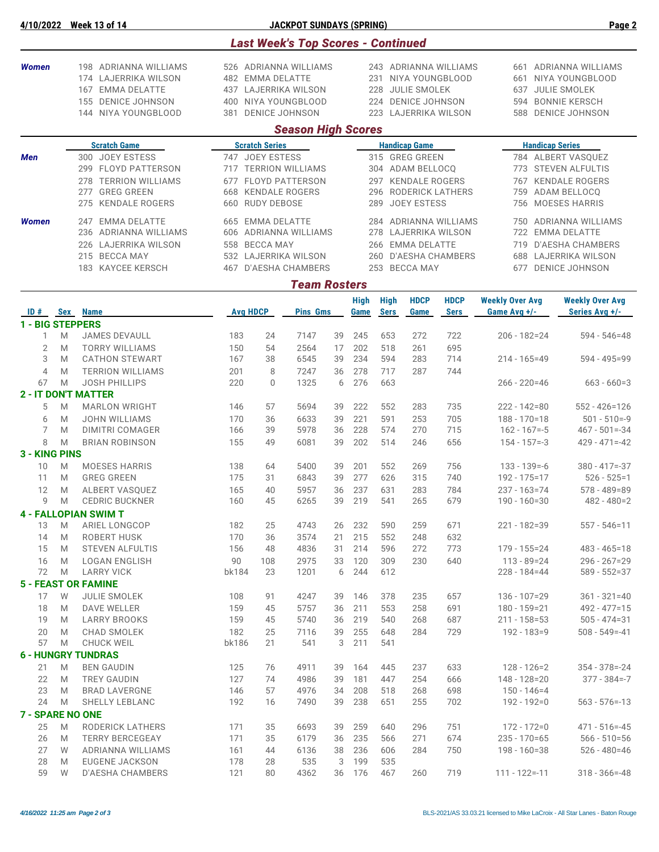|                              |                      |                                           |                                          |                       | <b>Last Week's Top Scores - Continued</b> |          |                                            |             |                      |                         |                                     |                                      |  |
|------------------------------|----------------------|-------------------------------------------|------------------------------------------|-----------------------|-------------------------------------------|----------|--------------------------------------------|-------------|----------------------|-------------------------|-------------------------------------|--------------------------------------|--|
| <b>Women</b>                 |                      | 198 ADRIANNA WILLIAMS                     |                                          |                       | 526 ADRIANNA WILLIAMS                     |          |                                            |             |                      | 243 ADRIANNA WILLIAMS   |                                     | 661 ADRIANNA WILLIAMS                |  |
|                              | 174 LAJERRIKA WILSON |                                           | 482 EMMA DELATTE<br>437 LAJERRIKA WILSON |                       |                                           |          |                                            |             |                      | 231 NIYA YOUNGBLOOD     | NIYA YOUNGBLOOD<br>661              |                                      |  |
|                              |                      | 167 EMMA DELATTE<br>155 DENICE JOHNSON    | NIYA YOUNGBLOOD<br>400                   |                       |                                           |          | 228<br>JULIE SMOLEK                        |             |                      |                         | 637                                 | JULIE SMOLEK<br>594 BONNIE KERSCH    |  |
|                              |                      | 144 NIYA YOUNGBLOOD                       | <b>DENICE JOHNSON</b><br>381             |                       |                                           |          | 224 DENICE JOHNSON<br>223 LAJERRIKA WILSON |             |                      |                         | 588                                 | <b>DENICE JOHNSON</b>                |  |
|                              |                      |                                           |                                          |                       | <b>Season High Scores</b>                 |          |                                            |             |                      |                         |                                     |                                      |  |
|                              |                      | <b>Scratch Game</b>                       |                                          | <b>Scratch Series</b> |                                           |          |                                            |             | <b>Handicap Game</b> |                         | <b>Handicap Series</b>              |                                      |  |
| Men                          |                      | 300 JOEY ESTESS                           | 747 JOEY ESTESS                          |                       |                                           |          |                                            |             | 315 GREG GREEN       |                         |                                     | 784 ALBERT VASQUEZ                   |  |
|                              |                      | 299 FLOYD PATTERSON                       |                                          |                       | 717 TERRION WILLIAMS                      |          |                                            |             | 304 ADAM BELLOCQ     |                         |                                     | 773 STEVEN ALFULTIS                  |  |
|                              |                      | 278 TERRION WILLIAMS                      |                                          |                       | 677 FLOYD PATTERSON                       |          |                                            |             | 297 KENDALE ROGERS   |                         |                                     | 767 KENDALE ROGERS                   |  |
|                              |                      | <b>GREG GREEN</b><br>277                  | <b>KENDALE ROGERS</b><br>668             |                       |                                           |          |                                            | 296         |                      | <b>RODERICK LATHERS</b> | 759                                 | ADAM BELLOCQ                         |  |
|                              |                      | <b>KENDALE ROGERS</b><br>275              | 660                                      | <b>RUDY DEBOSE</b>    |                                           |          |                                            | 289         | <b>JOEY ESTESS</b>   |                         | 756                                 | <b>MOESES HARRIS</b>                 |  |
| <b>Women</b>                 |                      | 247 EMMA DELATTE                          | 665 EMMA DELATTE                         |                       |                                           |          |                                            |             |                      | 284 ADRIANNA WILLIAMS   | 750                                 | ADRIANNA WILLIAMS                    |  |
|                              |                      | 236 ADRIANNA WILLIAMS                     |                                          |                       | 606 ADRIANNA WILLIAMS                     |          |                                            |             |                      | 278 LAJERRIKA WILSON    |                                     | 722 EMMA DELATTE                     |  |
|                              |                      | 226 LAJERRIKA WILSON                      | 558 BECCA MAY                            |                       |                                           |          |                                            | 266         | <b>EMMA DELATTE</b>  |                         | 719                                 | <b>D'AESHA CHAMBERS</b>              |  |
|                              |                      | 215 BECCA MAY                             |                                          |                       | 532 LAJERRIKA WILSON                      |          |                                            | 260         |                      | <b>D'AESHA CHAMBERS</b> | 688                                 | LAJERRIKA WILSON                     |  |
|                              |                      | 183 KAYCEE KERSCH                         |                                          |                       | 467 D'AESHA CHAMBERS                      |          |                                            |             | 253 BECCA MAY        |                         | 677                                 | DENICE JOHNSON                       |  |
|                              |                      |                                           |                                          |                       | <b>Team Rosters</b>                       |          |                                            |             |                      |                         |                                     |                                      |  |
|                              |                      |                                           |                                          |                       |                                           |          | High                                       | <b>High</b> | <b>HDCP</b>          | <b>HDCP</b>             | <b>Weekly Over Avg</b>              | <b>Weekly Over Avg</b>               |  |
| $ID#$ Sex                    |                      | <b>Name</b>                               | <b>Avg HDCP</b>                          |                       | <b>Pins Gms</b>                           |          | Game                                       | <b>Sers</b> | Game                 | <b>Sers</b>             | Game Avg +/-                        | Series Avg +/-                       |  |
| <b>1 - BIG STEPPERS</b><br>1 | M                    | <b>JAMES DEVAULL</b>                      | 183                                      | 24                    | 7147                                      | 39       | 245                                        | 653         | 272                  | 722                     | $206 - 182 = 24$                    | $594 - 546 = 48$                     |  |
| $\mathbf{2}$                 | M                    | <b>TORRY WILLIAMS</b>                     | 150                                      | 54                    | 2564                                      | 17       | 202                                        | 518         | 261                  | 695                     |                                     |                                      |  |
| 3                            | M                    | <b>CATHON STEWART</b>                     | 167                                      | 38                    | 6545                                      | 39       | 234                                        | 594         | 283                  | 714                     | $214 - 165 = 49$                    | 594 - 495=99                         |  |
| $\overline{4}$               | M                    | <b>TERRION WILLIAMS</b>                   | 201                                      | 8                     | 7247                                      | 36       | 278                                        | 717         | 287                  | 744                     |                                     |                                      |  |
| 67                           | M                    | <b>JOSH PHILLIPS</b>                      | 220                                      | 0                     | 1325                                      | 6        | 276                                        | 663         |                      |                         | $266 - 220 = 46$                    | $663 - 660=3$                        |  |
|                              |                      | <b>2 - IT DON'T MATTER</b>                |                                          |                       |                                           |          |                                            |             |                      |                         |                                     |                                      |  |
| 5                            | M                    | <b>MARLON WRIGHT</b>                      | 146                                      | 57                    | 5694                                      | 39       | 222                                        | 552         | 283                  | 735                     | $222 - 142 = 80$                    | $552 - 426 = 126$                    |  |
| 6                            | M                    | <b>JOHN WILLIAMS</b>                      | 170                                      | 36                    | 6633                                      | 39       | 221                                        | 591         | 253                  | 705                     | $188 - 170 = 18$                    | $501 - 510 = -9$                     |  |
| 7                            | M                    | <b>DIMITRI COMAGER</b>                    | 166                                      | 39                    | 5978                                      | 36       | 228                                        | 574         | 270                  | 715                     | $162 - 167 = -5$                    | $467 - 501 = -34$                    |  |
| 8                            | M                    | <b>BRIAN ROBINSON</b>                     | 155                                      | 49                    | 6081                                      | 39       | 202                                        | 514         | 246                  | 656                     | $154 - 157 = -3$                    | $429 - 471 = -42$                    |  |
| 3 - KING PINS<br>10          | M                    | <b>MOESES HARRIS</b>                      | 138                                      | 64                    | 5400                                      | 39       | 201                                        | 552         | 269                  | 756                     | $133 - 139 = -6$                    | $380 - 417 = -37$                    |  |
| 11                           | M                    | <b>GREG GREEN</b>                         | 175                                      | 31                    | 6843                                      | 39       | 277                                        | 626         | 315                  | 740                     | 192 - 175 = 17                      | $526 - 525 = 1$                      |  |
| 12                           | M                    | ALBERT VASQUEZ                            | 165                                      | 40                    | 5957                                      | 36       | 237                                        | 631         | 283                  | 784                     | $237 - 163 = 74$                    | $578 - 489 = 89$                     |  |
| $\overline{9}$               | M                    | <b>CEDRIC BUCKNER</b>                     | 160                                      | 45                    | 6265                                      | 39       | 219                                        | 541         | 265                  | 679                     | $190 - 160 = 30$                    | $482 - 480 = 2$                      |  |
|                              |                      | <b>4 - FALLOPIAN SWIM T</b>               |                                          |                       |                                           |          |                                            |             |                      |                         |                                     |                                      |  |
| 13                           | M                    | ARIEL LONGCOP                             | 182                                      | 25                    | 4743                                      | 26       | 232                                        | 590         | 259                  | 671                     | $221 - 182 = 39$                    | $557 - 546 = 11$                     |  |
| 14                           | M                    | ROBERT HUSK                               | 170                                      | 36                    | 3574                                      | 21       | 215                                        | 552         | 248                  | 632                     |                                     |                                      |  |
| 15                           | M                    | <b>STEVEN ALFULTIS</b>                    | 156                                      | 48                    | 4836                                      | 31       | 214                                        | 596         | 272                  | 773                     | $179 - 155 = 24$                    | $483 - 465 = 18$                     |  |
| 16<br>72                     | M<br>M               | <b>LOGAN ENGLISH</b><br><b>LARRY VICK</b> | 90<br>bk184                              | 108<br>23             | 2975<br>1201                              | 33<br>6  | 120<br>244                                 | 309<br>612  | 230                  | 640                     | $113 - 89 = 24$<br>$228 - 184 = 44$ | $296 - 267 = 29$<br>$589 - 552 = 37$ |  |
|                              |                      | <b>5 - FEAST OR FAMINE</b>                |                                          |                       |                                           |          |                                            |             |                      |                         |                                     |                                      |  |
| 17                           | W                    | <b>JULIE SMOLEK</b>                       | 108                                      | 91                    | 4247                                      | 39       | 146                                        | 378         | 235                  | 657                     | $136 - 107 = 29$                    | $361 - 321 = 40$                     |  |
| 18                           | M                    | DAVE WELLER                               | 159                                      | 45                    | 5757                                      | 36       | 211                                        | 553         | 258                  | 691                     | 180 - 159 = 21                      | $492 - 477 = 15$                     |  |
| 19                           | M                    | <b>LARRY BROOKS</b>                       | 159                                      | 45                    | 5740                                      | 36       | 219                                        | 540         | 268                  | 687                     | $211 - 158 = 53$                    | $505 - 474 = 31$                     |  |
| 20                           | M                    | CHAD SMOLEK                               | 182                                      | 25                    | 7116                                      | 39       | 255                                        | 648         | 284                  | 729                     | $192 - 183 = 9$                     | $508 - 549 = -41$                    |  |
| 57                           | M                    | <b>CHUCK WEIL</b>                         | bk186                                    | 21                    | 541                                       | 3        | 211                                        | 541         |                      |                         |                                     |                                      |  |
|                              |                      | <b>6 - HUNGRY TUNDRAS</b>                 |                                          |                       |                                           |          |                                            |             |                      |                         |                                     |                                      |  |
| 21                           | M                    | <b>BEN GAUDIN</b>                         | 125                                      | 76                    | 4911                                      | 39       | 164                                        | 445         | 237                  | 633                     | $128 - 126 = 2$                     | $354 - 378 = -24$                    |  |
| 22                           | M                    | <b>TREY GAUDIN</b>                        | 127                                      | 74                    | 4986                                      | 39       | 181                                        | 447         | 254                  | 666                     | 148 - 128 = 20                      | $377 - 384 = -7$                     |  |
| 23<br>24                     | M<br>M               | <b>BRAD LAVERGNE</b><br>SHELLY LEBLANC    | 146<br>192                               | 57<br>16              | 4976<br>7490                              | 34<br>39 | 208<br>238                                 | 518<br>651  | 268<br>255           | 698<br>702              | $150 - 146 = 4$<br>192 - 192=0      | $563 - 576 = -13$                    |  |
| 7 - SPARE NO ONE             |                      |                                           |                                          |                       |                                           |          |                                            |             |                      |                         |                                     |                                      |  |
| 25                           | M                    | <b>RODERICK LATHERS</b>                   | 171                                      | 35                    | 6693                                      | 39       | 259                                        | 640         | 296                  | 751                     | $172 - 172 = 0$                     | $471 - 516 = -45$                    |  |
| 26                           | M                    | <b>TERRY BERCEGEAY</b>                    | 171                                      | 35                    | 6179                                      | 36       | 235                                        | 566         | 271                  | 674                     | $235 - 170 = 65$                    | $566 - 510 = 56$                     |  |
| 27                           | W                    | ADRIANNA WILLIAMS                         | 161                                      | 44                    | 6136                                      | 38       | 236                                        | 606         | 284                  | 750                     | $198 - 160 = 38$                    | $526 - 480 = 46$                     |  |
| 28                           | M                    | <b>EUGENE JACKSON</b>                     | 178                                      | 28                    | 535                                       | 3        | 199                                        | 535         |                      |                         |                                     |                                      |  |
| 59                           | W                    | <b>D'AESHA CHAMBERS</b>                   | 121                                      | 80                    | 4362                                      |          | 36 176                                     | 467         | 260                  | 719                     | $111 - 122 = -11$                   | $318 - 366 = -48$                    |  |

**4/10/2022 Week 13 of 14 JACKPOT SUNDAYS (SPRING) Page 2**